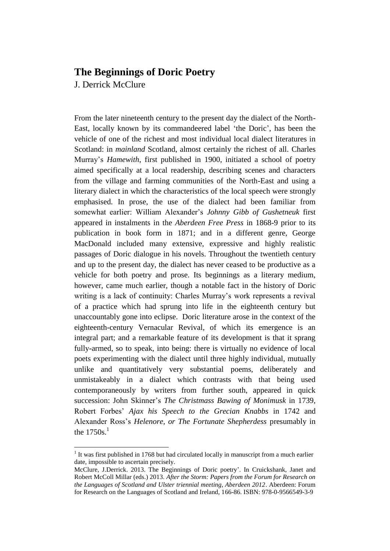## **The Beginnings of Doric Poetry**

J. Derrick McClure

 $\overline{\phantom{a}}$ 

From the later nineteenth century to the present day the dialect of the North-East, locally known by its commandeered label 'the Doric', has been the vehicle of one of the richest and most individual local dialect literatures in Scotland: in *mainland* Scotland, almost certainly the richest of all. Charles Murray's *Hamewith*, first published in 1900, initiated a school of poetry aimed specifically at a local readership, describing scenes and characters from the village and farming communities of the North-East and using a literary dialect in which the characteristics of the local speech were strongly emphasised. In prose, the use of the dialect had been familiar from somewhat earlier: William Alexander's *Johnny Gibb of Gushetneuk* first appeared in instalments in the *Aberdeen Free Press* in 1868-9 prior to its publication in book form in 1871; and in a different genre, George MacDonald included many extensive, expressive and highly realistic passages of Doric dialogue in his novels. Throughout the twentieth century and up to the present day, the dialect has never ceased to be productive as a vehicle for both poetry and prose. Its beginnings as a literary medium, however, came much earlier, though a notable fact in the history of Doric writing is a lack of continuity: Charles Murray's work represents a revival of a practice which had sprung into life in the eighteenth century but unaccountably gone into eclipse. Doric literature arose in the context of the eighteenth-century Vernacular Revival, of which its emergence is an integral part; and a remarkable feature of its development is that it sprang fully-armed, so to speak, into being: there is virtually no evidence of local poets experimenting with the dialect until three highly individual, mutually unlike and quantitatively very substantial poems, deliberately and unmistakeably in a dialect which contrasts with that being used contemporaneously by writers from further south, appeared in quick succession: John Skinner's *The Christmass Bawing of Monimusk* in 1739, Robert Forbes' *Ajax his Speech to the Grecian Knabbs* in 1742 and Alexander Ross's *Helenore, or The Fortunate Shepherdess* presumably in the  $1750s<sup>1</sup>$ 

 $1$  It was first published in 1768 but had circulated locally in manuscript from a much earlier date, impossible to ascertain precisely.

McClure, J.Derrick. 2013. The Beginnings of Doric poetry'. In Cruickshank, Janet and Robert McColl Millar (eds.) 2013. *After the Storm: Papers from the Forum for Research on the Languages of Scotland and Ulster triennial meeting, Aberdeen 2012*. Aberdeen: Forum for Research on the Languages of Scotland and Ireland, 166-86. ISBN: 978-0-9566549-3-9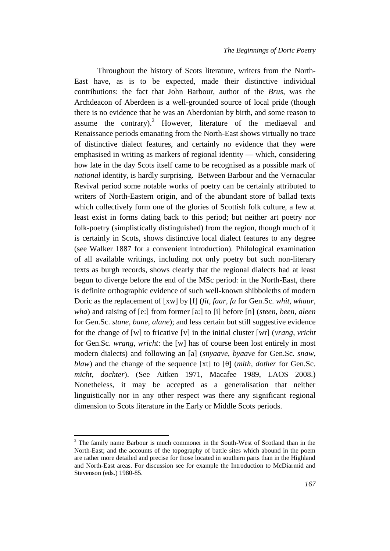Throughout the history of Scots literature, writers from the North-East have, as is to be expected, made their distinctive individual contributions: the fact that John Barbour, author of the *Brus*, was the Archdeacon of Aberdeen is a well-grounded source of local pride (though there is no evidence that he was an Aberdonian by birth, and some reason to assume the contrary).<sup>2</sup> However, literature of the mediaeval and Renaissance periods emanating from the North-East shows virtually no trace of distinctive dialect features, and certainly no evidence that they were emphasised in writing as markers of regional identity — which, considering how late in the day Scots itself came to be recognised as a possible mark of *national* identity, is hardly surprising. Between Barbour and the Vernacular Revival period some notable works of poetry can be certainly attributed to writers of North-Eastern origin, and of the abundant store of ballad texts which collectively form one of the glories of Scottish folk culture, a few at least exist in forms dating back to this period; but neither art poetry nor folk-poetry (simplistically distinguished) from the region, though much of it is certainly in Scots, shows distinctive local dialect features to any degree (see Walker 1887 for a convenient introduction). Philological examination of all available writings, including not only poetry but such non-literary texts as burgh records, shows clearly that the regional dialects had at least begun to diverge before the end of the MSc period: in the North-East, there is definite orthographic evidence of such well-known shibboleths of modern Doric as the replacement of [xw] by [f] (*fit, faar, fa* for Gen.Sc. *whit, whaur, wha*) and raising of [e:] from former [a:] to [i] before [n] (*steen*, *been*, *aleen* for Gen.Sc. *stane*, *bane*, *alane*); and less certain but still suggestive evidence for the change of [w] to fricative [v] in the initial cluster [wr] (*vrang*, *vricht* for Gen.Sc. *wrang*, *wricht*: the [w] has of course been lost entirely in most modern dialects) and following an [a] (*snyaave*, *byaave* for Gen.Sc. *snaw*, *blaw*) and the change of the sequence [xt] to [θ] (*mith*, *dother* for Gen.Sc. *micht*, *dochter*). (See Aitken 1971, Macafee 1989, LAOS 2008.) Nonetheless, it may be accepted as a generalisation that neither linguistically nor in any other respect was there any significant regional dimension to Scots literature in the Early or Middle Scots periods.

 $2$  The family name Barbour is much commoner in the South-West of Scotland than in the North-East; and the accounts of the topography of battle sites which abound in the poem are rather more detailed and precise for those located in southern parts than in the Highland and North-East areas. For discussion see for example the Introduction to McDiarmid and Stevenson (eds.) 1980-85.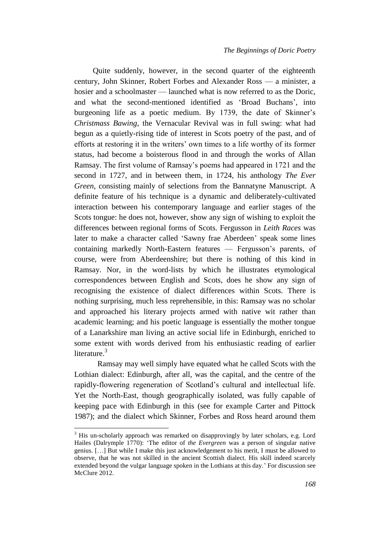Quite suddenly, however, in the second quarter of the eighteenth century, John Skinner, Robert Forbes and Alexander Ross — a minister, a hosier and a schoolmaster — launched what is now referred to as the Doric, and what the second-mentioned identified as 'Broad Buchans', into burgeoning life as a poetic medium. By 1739, the date of Skinner's *Christmass Bawing*, the Vernacular Revival was in full swing: what had begun as a quietly-rising tide of interest in Scots poetry of the past, and of efforts at restoring it in the writers' own times to a life worthy of its former status, had become a boisterous flood in and through the works of Allan Ramsay. The first volume of Ramsay's poems had appeared in 1721 and the second in 1727, and in between them, in 1724, his anthology *The Ever Green*, consisting mainly of selections from the Bannatyne Manuscript. A definite feature of his technique is a dynamic and deliberately-cultivated interaction between his contemporary language and earlier stages of the Scots tongue: he does not, however, show any sign of wishing to exploit the differences between regional forms of Scots. Fergusson in *Leith Races* was later to make a character called 'Sawny frae Aberdeen' speak some lines containing markedly North-Eastern features — Fergusson's parents, of course, were from Aberdeenshire; but there is nothing of this kind in Ramsay. Nor, in the word-lists by which he illustrates etymological correspondences between English and Scots, does he show any sign of recognising the existence of dialect differences within Scots. There is nothing surprising, much less reprehensible, in this: Ramsay was no scholar and approached his literary projects armed with native wit rather than academic learning; and his poetic language is essentially the mother tongue of a Lanarkshire man living an active social life in Edinburgh, enriched to some extent with words derived from his enthusiastic reading of earlier literature. $3$ 

Ramsay may well simply have equated what he called Scots with the Lothian dialect: Edinburgh, after all, was the capital, and the centre of the rapidly-flowering regeneration of Scotland's cultural and intellectual life. Yet the North-East, though geographically isolated, was fully capable of keeping pace with Edinburgh in this (see for example Carter and Pittock 1987); and the dialect which Skinner, Forbes and Ross heard around them

<sup>&</sup>lt;sup>3</sup> His un-scholarly approach was remarked on disapprovingly by later scholars, e.g. Lord Hailes (Dalrymple 1770): 'The editor of *the Evergreen* was a person of singular native genius. […] But while I make this just acknowledgement to his merit, I must be allowed to observe, that he was not skilled in the ancient Scottish dialect. His skill indeed scarcely extended beyond the vulgar language spoken in the Lothians at this day.' For discussion see McClure 2012.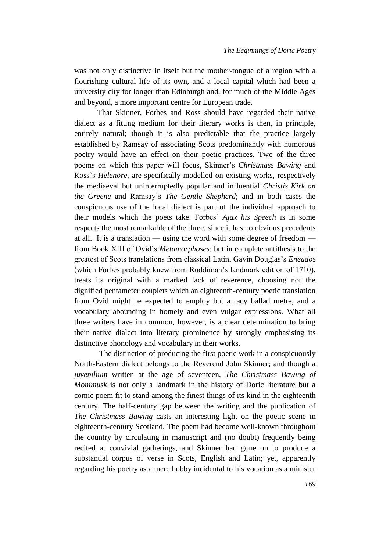was not only distinctive in itself but the mother-tongue of a region with a flourishing cultural life of its own, and a local capital which had been a university city for longer than Edinburgh and, for much of the Middle Ages and beyond, a more important centre for European trade.

That Skinner, Forbes and Ross should have regarded their native dialect as a fitting medium for their literary works is then, in principle, entirely natural; though it is also predictable that the practice largely established by Ramsay of associating Scots predominantly with humorous poetry would have an effect on their poetic practices. Two of the three poems on which this paper will focus, Skinner's *Christmass Bawing* and Ross's *Helenore*, are specifically modelled on existing works, respectively the mediaeval but uninterruptedly popular and influential *Christis Kirk on the Greene* and Ramsay's *The Gentle Shepherd*; and in both cases the conspicuous use of the local dialect is part of the individual approach to their models which the poets take. Forbes' *Ajax his Speech* is in some respects the most remarkable of the three, since it has no obvious precedents at all. It is a translation — using the word with some degree of freedom from Book XIII of Ovid's *Metamorphoses*; but in complete antithesis to the greatest of Scots translations from classical Latin, Gavin Douglas's *Eneados* (which Forbes probably knew from Ruddiman's landmark edition of 1710), treats its original with a marked lack of reverence, choosing not the dignified pentameter couplets which an eighteenth-century poetic translation from Ovid might be expected to employ but a racy ballad metre, and a vocabulary abounding in homely and even vulgar expressions. What all three writers have in common, however, is a clear determination to bring their native dialect into literary prominence by strongly emphasising its distinctive phonology and vocabulary in their works.

The distinction of producing the first poetic work in a conspicuously North-Eastern dialect belongs to the Reverend John Skinner; and though a *juvenilium* written at the age of seventeen, *The Christmass Bawing of Monimusk* is not only a landmark in the history of Doric literature but a comic poem fit to stand among the finest things of its kind in the eighteenth century. The half-century gap between the writing and the publication of *The Christmass Bawing* casts an interesting light on the poetic scene in eighteenth-century Scotland. The poem had become well-known throughout the country by circulating in manuscript and (no doubt) frequently being recited at convivial gatherings, and Skinner had gone on to produce a substantial corpus of verse in Scots, English and Latin; yet, apparently regarding his poetry as a mere hobby incidental to his vocation as a minister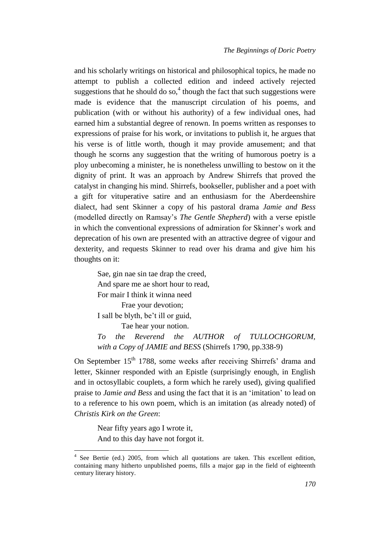and his scholarly writings on historical and philosophical topics, he made no attempt to publish a collected edition and indeed actively rejected suggestions that he should do so,<sup>4</sup> though the fact that such suggestions were made is evidence that the manuscript circulation of his poems, and publication (with or without his authority) of a few individual ones, had earned him a substantial degree of renown. In poems written as responses to expressions of praise for his work, or invitations to publish it, he argues that his verse is of little worth, though it may provide amusement; and that though he scorns any suggestion that the writing of humorous poetry is a ploy unbecoming a minister, he is nonetheless unwilling to bestow on it the dignity of print. It was an approach by Andrew Shirrefs that proved the catalyst in changing his mind. Shirrefs, bookseller, publisher and a poet with a gift for vituperative satire and an enthusiasm for the Aberdeenshire dialect, had sent Skinner a copy of his pastoral drama *Jamie and Bess*  (modelled directly on Ramsay's *The Gentle Shepherd*) with a verse epistle in which the conventional expressions of admiration for Skinner's work and deprecation of his own are presented with an attractive degree of vigour and dexterity, and requests Skinner to read over his drama and give him his thoughts on it:

Sae, gin nae sin tae drap the creed, And spare me ae short hour to read, For mair I think it winna need Frae your devotion; I sall be blyth, be't ill or guid,

Tae hear your notion.

*To the Reverend the AUTHOR of TULLOCHGORUM, with a Copy of JAMIE and BESS* (Shirrefs 1790, pp.338-9)

On September  $15<sup>th</sup> 1788$ , some weeks after receiving Shirrefs' drama and letter, Skinner responded with an Epistle (surprisingly enough, in English and in octosyllabic couplets, a form which he rarely used), giving qualified praise to *Jamie and Bess* and using the fact that it is an 'imitation' to lead on to a reference to his own poem, which is an imitation (as already noted) of *Christis Kirk on the Green*:

Near fifty years ago I wrote it, And to this day have not forgot it.

<sup>&</sup>lt;sup>4</sup> See Bertie (ed.) 2005, from which all quotations are taken. This excellent edition, containing many hitherto unpublished poems, fills a major gap in the field of eighteenth century literary history.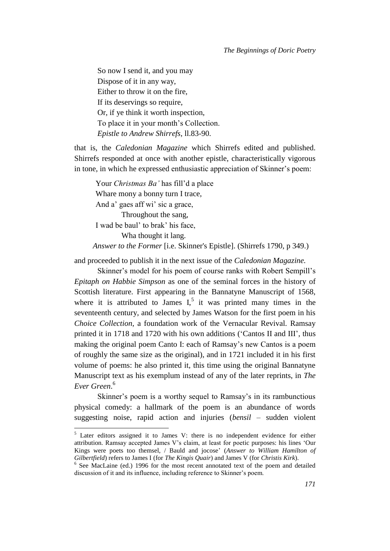So now I send it, and you may Dispose of it in any way, Either to throw it on the fire, If its deservings so require, Or, if ye think it worth inspection, To place it in your month's Collection. *Epistle to Andrew Shirrefs*, ll.83-90.

that is, the *Caledonian Magazine* which Shirrefs edited and published. Shirrefs responded at once with another epistle, characteristically vigorous in tone, in which he expressed enthusiastic appreciation of Skinner's poem:

Your *Christmas Ba'* has fill'd a place Whare mony a bonny turn I trace, And a' gaes aff wi' sic a grace, Throughout the sang, I wad be baul' to brak' his face, Wha thought it lang. *Answer to the Former* [i.e. Skinner's Epistle]. (Shirrefs 1790, p 349.)

and proceeded to publish it in the next issue of the *Caledonian Magazine.*

Skinner's model for his poem of course ranks with Robert Sempill's *Epitaph on Habbie Simpson* as one of the seminal forces in the history of Scottish literature. First appearing in the Bannatyne Manuscript of 1568, where it is attributed to James  $I_1^5$  it was printed many times in the seventeenth century, and selected by James Watson for the first poem in his *Choice Collection*, a foundation work of the Vernacular Revival. Ramsay printed it in 1718 and 1720 with his own additions ('Cantos II and III', thus making the original poem Canto I: each of Ramsay's new Cantos is a poem of roughly the same size as the original), and in 1721 included it in his first volume of poems: he also printed it, this time using the original Bannatyne Manuscript text as his exemplum instead of any of the later reprints, in *The Ever Green*. 6

Skinner's poem is a worthy sequel to Ramsay's in its rambunctious physical comedy: a hallmark of the poem is an abundance of words suggesting noise, rapid action and injuries (*bensil* – sudden violent

 $5$  Later editors assigned it to James V: there is no independent evidence for either attribution. Ramsay accepted James V's claim, at least for poetic purposes: his lines 'Our Kings were poets too themsel, / Bauld and jocose' (*Answer to William Hamilton of Gilbertfield*) refers to James I (for *The Kingis Quair*) and James V (for *Christis Kirk*).

<sup>&</sup>lt;sup>6</sup> See MacLaine (ed.) 1996 for the most recent annotated text of the poem and detailed discussion of it and its influence, including reference to Skinner's poem.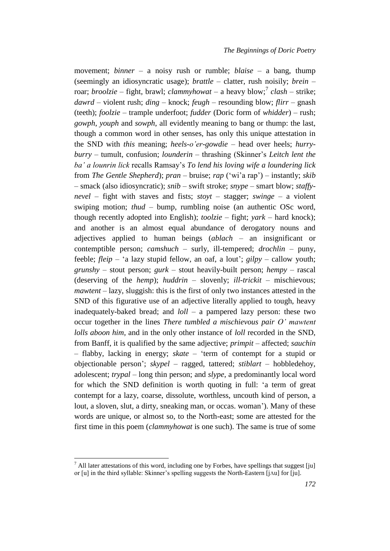movement; *binner* – a noisy rush or rumble; *blaise* – a bang, thump (seemingly an idiosyncratic usage); *brattle* – clatter, rush noisily; *brein* – roar; *broolzie* – fight, brawl; *clammyhowat* – a heavy blow;<sup>7</sup> *clash* – strike; *dawrd* – violent rush; *ding* – knock; *feugh* – resounding blow; *flirr* – gnash (teeth); *foolzie* – trample underfoot; *fudder* (Doric form of *whidder*) – rush; *gowph*, *youph* and *sowph*, all evidently meaning to bang or thump: the last, though a common word in other senses, has only this unique attestation in the SND with *this* meaning; *heels-o'er-gowdie* – head over heels; *hurryburry* – tumult, confusion; *lounderin* – thrashing (Skinner's *Leitch lent the ba' a lounrin lick* recalls Ramsay's *To lend his loving wife a loundering lick* from *The Gentle Shepherd*); *pran* – bruise; *rap* ('wi'a rap') – instantly; *skib* – smack (also idiosyncratic); *snib* – swift stroke; *snype* – smart blow; *staffynevel* – fight with staves and fists; *stoyt* – stagger; *swinge* – a violent swiping motion; *thud* – bump, rumbling noise (an authentic OSc word, though recently adopted into English); *toolzie* – fight; *yark* – hard knock); and another is an almost equal abundance of derogatory nouns and adjectives applied to human beings (*ablach* – an insignificant or contemptible person; *camshuch* – surly, ill-tempered; *drochlin* – puny, feeble; *fleip* – 'a lazy stupid fellow, an oaf, a lout'; *gilpy* – callow youth; *grunshy* – stout person; *gurk* – stout heavily-built person; *hempy* – rascal (deserving of the *hemp*); *huddrin* – slovenly; *ill-trickit* – mischievous; *mawtent* – lazy, sluggish: this is the first of only two instances attested in the SND of this figurative use of an adjective literally applied to tough, heavy inadequately-baked bread; and *loll* – a pampered lazy person: these two occur together in the lines *There tumbled a mischievous pair O' mawtent lolls aboon him,* and in the only other instance of *loll* recorded in the SND, from Banff, it is qualified by the same adjective; *primpit* – affected; *sauchin* – flabby, lacking in energy; *skate* – 'term of contempt for a stupid or objectionable person'; *skypel* – ragged, tattered; *stiblart* – hobbledehoy, adolescent; *trypal* – long thin person; and *slype*, a predominantly local word for which the SND definition is worth quoting in full: 'a term of great contempt for a lazy, coarse, dissolute, worthless, uncouth kind of person, a lout, a sloven, slut, a dirty, sneaking man, or occas. woman'). Many of these words are unique, or almost so, to the North-east; some are attested for the first time in this poem (*clammyhowat* is one such). The same is true of some

l

 $<sup>7</sup>$  All later attestations of this word, including one by Forbes, have spellings that suggest [ju]</sup> or [u] in the third syllable: Skinner's spelling suggests the North-Eastern [jΛu] for [ju].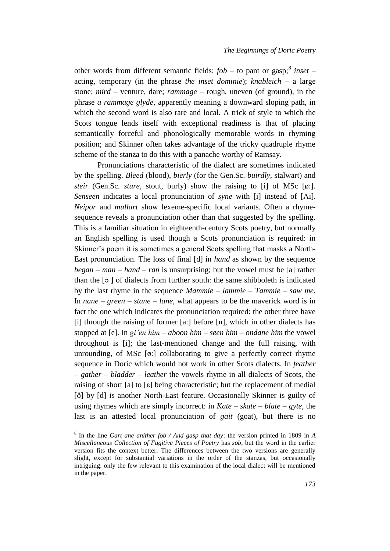other words from different semantic fields: *fob* $– to pant or gasp;<sup>8</sup>$ *inset* $–$ acting, temporary (in the phrase *the inset dominie*); *knableich –* a large stone; *mird* – venture, dare; *rammage –* rough, uneven (of ground), in the phrase *a rammage glyde*, apparently meaning a downward sloping path, in which the second word is also rare and local. A trick of style to which the Scots tongue lends itself with exceptional readiness is that of placing semantically forceful and phonologically memorable words in rhyming position; and Skinner often takes advantage of the tricky quadruple rhyme scheme of the stanza to do this with a panache worthy of Ramsay.

Pronunciations characteristic of the dialect are sometimes indicated by the spelling. *Bleed* (blood), *bierly* (for the Gen.Sc. *buirdly*, stalwart) and *steir* (Gen.Sc. *sture*, stout, burly) show the raising to [i] of MSc [ø:]. *Senseen* indicates a local pronunciation of *syne* with [i] instead of [Λi]. *Neipor* and *mullart* show lexeme-specific local variants. Often a rhymesequence reveals a pronunciation other than that suggested by the spelling. This is a familiar situation in eighteenth-century Scots poetry, but normally an English spelling is used though a Scots pronunciation is required: in Skinner's poem it is sometimes a general Scots spelling that masks a North-East pronunciation. The loss of final [d] in *hand* as shown by the sequence *began – man – hand – ran* is unsurprising; but the vowel must be [a] rather than the [ɔ ] of dialects from further south: the same shibboleth is indicated by the last rhyme in the sequence *Mammie – lammie – Tammie – saw me*. In *nane – green – stane – lane*, what appears to be the maverick word is in fact the one which indicates the pronunciation required: the other three have [i] through the raising of former [a:] before [n], which in other dialects has stopped at [e]. In *gi'en him – aboon him – seen him – ondane him* the vowel throughout is [i]; the last-mentioned change and the full raising, with unrounding, of MSc [ø:] collaborating to give a perfectly correct rhyme sequence in Doric which would not work in other Scots dialects. In *feather – gather – bladder – leather* the vowels rhyme in all dialects of Scots, the raising of short [a] to [ε] being characteristic; but the replacement of medial [ð] by [d] is another North-East feature. Occasionally Skinner is guilty of using rhymes which are simply incorrect: in *Kate – skate – blate – gyte*, the last is an attested local pronunciation of *gait* (goat), but there is no

<sup>8</sup> In the line *Gart ane anither fob / And gasp that day*: the version printed in 1809 in *A Miscellaneous Collection of Fugitive Pieces of Poetry* has *sob*, but the word in the earlier version fits the context better. The differences between the two versions are generally slight, except for substantial variations in the order of the stanzas, but occasionally intriguing: only the few relevant to this examination of the local dialect will be mentioned in the paper.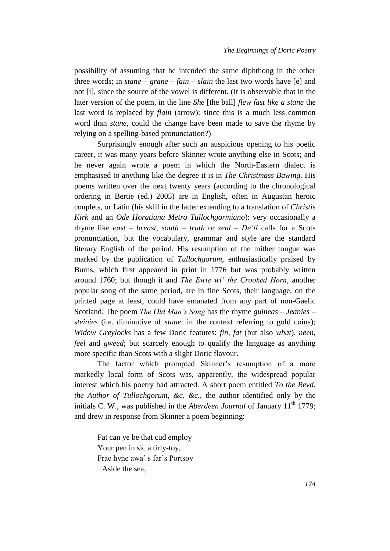possibility of assuming that he intended the same diphthong in the other three words; in *stane – grane – fain – slain* the last two words have [e] and not [i], since the source of the vowel is different. (It is observable that in the later version of the poem, in the line *She* [the ball] *flew fast like a stane* the last word is replaced by *flain* (arrow): since this is a much less common word than *stane*, could the change have been made to save the rhyme by relying on a spelling-based pronunciation?)

Surprisingly enough after such an auspicious opening to his poetic career, it was many years before Skinner wrote anything else in Scots; and he never again wrote a poem in which the North-Eastern dialect is emphasised to anything like the degree it is in *The Christmass Bawing.* His poems written over the next twenty years (according to the chronological ordering in Bertie (ed.) 2005) are in English, often in Augustan heroic couplets, or Latin (his skill in the latter extending to a translation of *Christis Kirk* and an *Ode Horatiana Metro Tullochgormiano*): very occasionally a rhyme like *east – breast*, *south – truth* or *zeal – De'il* calls for a Scots pronunciation, but the vocabulary, grammar and style are the standard literary English of the period. His resumption of the mither tongue was marked by the publication of *Tullochgorum,* enthusiastically praised by Burns, which first appeared in print in 1776 but was probably written around 1760; but though it and *The Ewie wi' the Crooked Horn,* another popular song of the same period, are in fine Scots, their language, on the printed page at least, could have emanated from any part of non-Gaelic Scotland. The poem *The Old Man's Song* has the rhyme *guineas – Jeanies – steinies* (i.e. diminutive of *stane*: in the context referring to gold coins); *Widow Greylocks* has a few Doric features: *fin, fat* (but also *what*), *neen, feel* and *gweed*; but scarcely enough to qualify the language as anything more specific than Scots with a slight Doric flavour.

The factor which prompted Skinner's resumption of a more markedly local form of Scots was, apparently, the widespread popular interest which his poetry had attracted. A short poem entitled *To the Revd. the Author of Tullochgorum, &c. &c.*, the author identified only by the initials C. W., was published in the *Aberdeen Journal* of January  $11<sup>th</sup> 1779$ ; and drew in response from Skinner a poem beginning:

Fat can ye be that cud employ Your pen in sic a tirly-toy, Frae hyne awa' s far's Portsoy Aside the sea,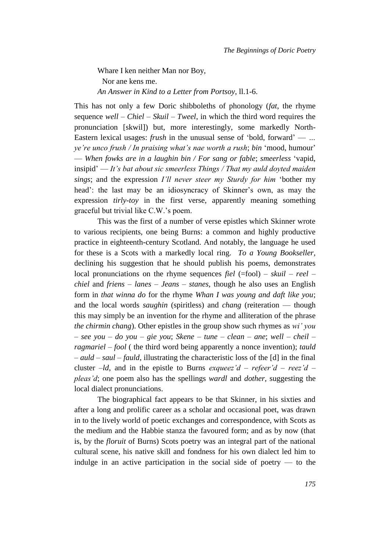Whare I ken neither Man nor Boy, Nor ane kens me. *An Answer in Kind to a Letter from Portsoy*, ll.1-6.

This has not only a few Doric shibboleths of phonology (*fat*, the rhyme sequence *well – Chiel – Skuil – Tweel*, in which the third word requires the pronunciation [skwil]) but, more interestingly, some markedly North-Eastern lexical usages: *frush* in the unusual sense of 'bold, forward' — *… ye're unco frush / In praising what's nae worth a rush*; *bin* 'mood, humour' — *When fowks are in a laughin bin / For sang or fable*; *smeerless* 'vapid, insipid' — *It's bat about sic smeerless Things / That my auld doyted maiden sings*; and the expression *I'll never steer my Sturdy for him* 'bother my head': the last may be an idiosyncracy of Skinner's own, as may the expression *tirly-toy* in the first verse, apparently meaning something graceful but trivial like C.W.'s poem.

This was the first of a number of verse epistles which Skinner wrote to various recipients, one being Burns: a common and highly productive practice in eighteenth-century Scotland. And notably, the language he used for these is a Scots with a markedly local ring. *To a Young Bookseller*, declining his suggestion that he should publish his poems, demonstrates local pronunciations on the rhyme sequences *fiel* (=fool) – *skuil* – *reel* – *chiel* and *friens – lanes – Jeans – stanes*, though he also uses an English form in *that winna do* for the rhyme *Whan I was young and daft like you*; and the local words *saughin* (spiritless) and *chang* (reiteration — though this may simply be an invention for the rhyme and alliteration of the phrase *the chirmin chang*). Other epistles in the group show such rhymes as *wi' you – see you – do you – gie you*; *Skene – tune – clean – ane*; *well – cheil – ragmariel – fool* ( the third word being apparently a nonce invention); *tauld – auld – saul – fauld*, illustrating the characteristic loss of the [d] in the final cluster *–ld*, and in the epistle to Burns *exqueez'd – refeer'd – reez'd – pleas'd*; one poem also has the spellings *wardl* and *dother,* suggesting the local dialect pronunciations.

The biographical fact appears to be that Skinner, in his sixties and after a long and prolific career as a scholar and occasional poet, was drawn in to the lively world of poetic exchanges and correspondence, with Scots as the medium and the Habbie stanza the favoured form; and as by now (that is, by the *floruit* of Burns) Scots poetry was an integral part of the national cultural scene, his native skill and fondness for his own dialect led him to indulge in an active participation in the social side of poetry — to the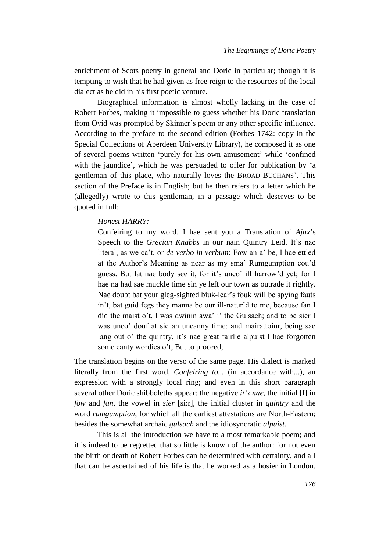enrichment of Scots poetry in general and Doric in particular; though it is tempting to wish that he had given as free reign to the resources of the local dialect as he did in his first poetic venture.

Biographical information is almost wholly lacking in the case of Robert Forbes, making it impossible to guess whether his Doric translation from Ovid was prompted by Skinner's poem or any other specific influence. According to the preface to the second edition (Forbes 1742: copy in the Special Collections of Aberdeen University Library), he composed it as one of several poems written 'purely for his own amusement' while 'confined with the jaundice', which he was persuaded to offer for publication by 'a gentleman of this place, who naturally loves the BROAD BUCHANS'. This section of the Preface is in English; but he then refers to a letter which he (allegedly) wrote to this gentleman, in a passage which deserves to be quoted in full:

## *Honest HARRY:*

Confeiring to my word, I hae sent you a Translation of *Ajax*'s Speech to the *Grecian Knabbs* in our nain Quintry Leid. It's nae literal, as we ca't, or *de verbo in verbum*: Fow an a' be, I hae ettled at the Author's Meaning as near as my sma' Rumgumption cou'd guess. But lat nae body see it, for it's unco' ill harrow'd yet; for I hae na had sae muckle time sin ye left our town as outrade it rightly. Nae doubt bat your gleg-sighted biuk-lear's fouk will be spying fauts in't, bat guid fegs they manna be our ill-natur'd to me, because fan I did the maist o't, I was dwinin awa' i' the Gulsach; and to be sier I was unco' douf at sic an uncanny time: and mairattoiur, being sae lang out o' the quintry, it's nae great fairlie alpuist I hae forgotten some canty wordies o't, But to proceed;

The translation begins on the verso of the same page. His dialect is marked literally from the first word, *Confeiring to...* (in accordance with...), an expression with a strongly local ring; and even in this short paragraph several other Doric shibboleths appear: the negative *it's nae*, the initial [f] in *fow* and *fan*, the vowel in *sier* [si:r], the initial cluster in *quintry* and the word *rumgumption*, for which all the earliest attestations are North-Eastern; besides the somewhat archaic *gulsach* and the idiosyncratic *alpuist*.

This is all the introduction we have to a most remarkable poem; and it is indeed to be regretted that so little is known of the author: for not even the birth or death of Robert Forbes can be determined with certainty, and all that can be ascertained of his life is that he worked as a hosier in London.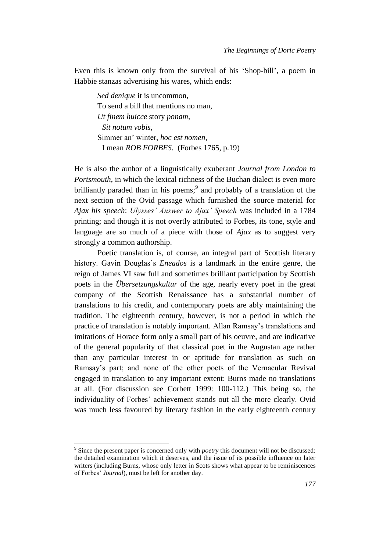Even this is known only from the survival of his 'Shop-bill', a poem in Habbie stanzas advertising his wares, which ends:

*Sed denique* it is uncommon, To send a bill that mentions no man, *Ut finem huicce* story *ponam, Sit notum vobis*, Simmer an' winter, *hoc est nomen*, I mean *ROB FORBES.* (Forbes 1765, p.19)

He is also the author of a linguistically exuberant *Journal from London to Portsmouth*, in which the lexical richness of the Buchan dialect is even more brilliantly paraded than in his poems;<sup>9</sup> and probably of a translation of the next section of the Ovid passage which furnished the source material for *Ajax his speech*: *Ulysses' Answer to Ajax' Speech* was included in a 1784 printing; and though it is not overtly attributed to Forbes, its tone, style and language are so much of a piece with those of *Ajax* as to suggest very strongly a common authorship.

Poetic translation is, of course, an integral part of Scottish literary history. Gavin Douglas's *Eneados* is a landmark in the entire genre, the reign of James VI saw full and sometimes brilliant participation by Scottish poets in the *Übersetzungskultur* of the age, nearly every poet in the great company of the Scottish Renaissance has a substantial number of translations to his credit, and contemporary poets are ably maintaining the tradition. The eighteenth century, however, is not a period in which the practice of translation is notably important. Allan Ramsay's translations and imitations of Horace form only a small part of his oeuvre, and are indicative of the general popularity of that classical poet in the Augustan age rather than any particular interest in or aptitude for translation as such on Ramsay's part; and none of the other poets of the Vernacular Revival engaged in translation to any important extent: Burns made no translations at all. (For discussion see Corbett 1999: 100-112.) This being so, the individuality of Forbes' achievement stands out all the more clearly. Ovid was much less favoured by literary fashion in the early eighteenth century

 $\overline{a}$ 

<sup>9</sup> Since the present paper is concerned only with *poetry* this document will not be discussed: the detailed examination which it deserves, and the issue of its possible influence on later writers (including Burns, whose only letter in Scots shows what appear to be reminiscences of Forbes' *Journal*), must be left for another day.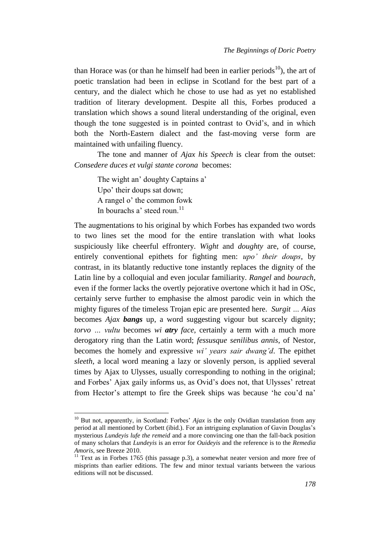than Horace was (or than he himself had been in earlier periods<sup>10</sup>), the art of poetic translation had been in eclipse in Scotland for the best part of a century, and the dialect which he chose to use had as yet no established tradition of literary development. Despite all this, Forbes produced a translation which shows a sound literal understanding of the original, even though the tone suggested is in pointed contrast to Ovid's, and in which both the North-Eastern dialect and the fast-moving verse form are maintained with unfailing fluency.

The tone and manner of *Ajax his Speech* is clear from the outset: *Consedere duces et vulgi stante corona* becomes:

The wight an' doughty Captains a' Upo' their doups sat down; A rangel o' the common fowk In bourachs a' steed roun.<sup>11</sup>

 $\overline{a}$ 

The augmentations to his original by which Forbes has expanded two words to two lines set the mood for the entire translation with what looks suspiciously like cheerful effrontery. *Wight* and *doughty* are, of course, entirely conventional epithets for fighting men: *upo' their doups*, by contrast, in its blatantly reductive tone instantly replaces the dignity of the Latin line by a colloquial and even jocular familiarity. *Rangel* and *bourach*, even if the former lacks the overtly pejorative overtone which it had in OSc, certainly serve further to emphasise the almost parodic vein in which the mighty figures of the timeless Trojan epic are presented here. *Surgit … Aias* becomes *Ajax bangs* up, a word suggesting vigour but scarcely dignity; *torvo … vultu* becomes *wi atry face*, certainly a term with a much more derogatory ring than the Latin word; *fessusque senilibus annis*, of Nestor, becomes the homely and expressive *wi' years sair dwang'd*. The epithet *sleeth*, a local word meaning a lazy or slovenly person, is applied several times by Ajax to Ulysses, usually corresponding to nothing in the original; and Forbes' Ajax gaily informs us, as Ovid's does not, that Ulysses' retreat from Hector's attempt to fire the Greek ships was because 'he cou'd na'

<sup>&</sup>lt;sup>10</sup> But not, apparently, in Scotland: Forbes' *Ajax* is the only Ovidian translation from any period at all mentioned by Corbett (ibid.). For an intriguing explanation of Gavin Douglas's mysterious *Lundeyis lufe the remeid* and a more convincing one than the fall-back position of many scholars that *Lundeyis* is an error for *Ouideyis* and the reference is to the *Remedia Amoris*, see Breeze 2010.

 $11$  Text as in Forbes 1765 (this passage p.3), a somewhat neater version and more free of misprints than earlier editions. The few and minor textual variants between the various editions will not be discussed.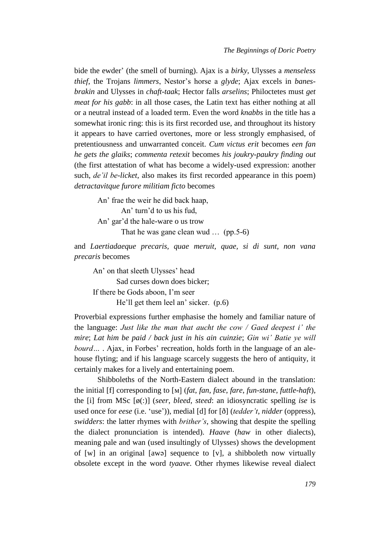bide the ewder' (the smell of burning). Ajax is a *birky*, Ulysses a *menseless thief*, the Trojans *limmers*, Nestor's horse a *glyde*; Ajax excels in *banesbrakin* and Ulysses in *chaft-taak*; Hector falls *arselins*; Philoctetes must *get meat for his gabb*: in all those cases, the Latin text has either nothing at all or a neutral instead of a loaded term. Even the word *knabbs* in the title has a somewhat ironic ring: this is its first recorded use, and throughout its history it appears to have carried overtones, more or less strongly emphasised, of pretentiousness and unwarranted conceit. *Cum victus erit* becomes *een fan he gets the glaiks*; *commenta retexit* becomes *his joukry-paukry finding out* (the first attestation of what has become a widely-used expression: another such, *de'il be-licket*, also makes its first recorded appearance in this poem) *detractavitque furore militiam ficto* becomes

An' frae the weir he did back haap, An' turn'd to us his fud, An' gar'd the hale-ware o us trow That he was gane clean wud … (pp.5-6)

and *Laertiadaeque precaris, quae meruit, quae, si di sunt, non vana precaris* becomes

An' on that sleeth Ulysses' head Sad curses down does bicker; If there be Gods aboon, I'm seer He'll get them leel an' sicker. (p.6)

Proverbial expressions further emphasise the homely and familiar nature of the language: *Just like the man that aucht the cow / Gaed deepest i' the mire*; *Lat him be paid / back just in his ain cuinzie*; *Gin wi' Batie ye will bourd…* . Ajax, in Forbes' recreation, holds forth in the language of an alehouse flyting; and if his language scarcely suggests the hero of antiquity, it certainly makes for a lively and entertaining poem.

Shibboleths of the North-Eastern dialect abound in the translation: the initial [f] corresponding to [м] (*fat*, *fan*, *fase*, *fare*, *fun-stane, futtle-haft*), the [i] from MSc [ø(:)] (*seer*, *bleed*, *steed*: an idiosyncratic spelling *ise* is used once for *eese* (i.e. 'use')), medial [d] for [ð] (*tedder't*, *nidder* (oppress), *swidders*: the latter rhymes with *brither's*, showing that despite the spelling the dialect pronunciation is intended). *Haave* (*haw* in other dialects), meaning pale and wan (used insultingly of Ulysses) shows the development of [w] in an original [awə] sequence to [v], a shibboleth now virtually obsolete except in the word *tyaave*. Other rhymes likewise reveal dialect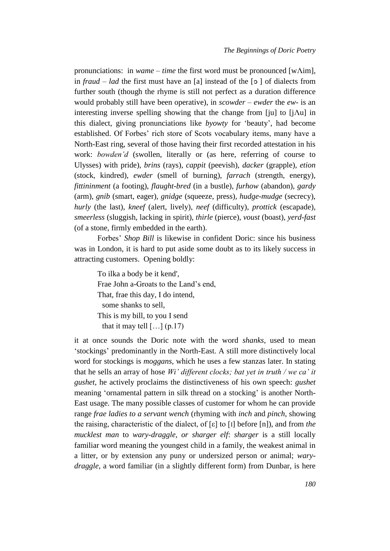pronunciations: in *wame – time* the first word must be pronounced [wΛim], in *fraud – lad* the first must have an [a] instead of the [ɔ ] of dialects from further south (though the rhyme is still not perfect as a duration difference would probably still have been operative), in *scowder – ewder* the *ew-* is an interesting inverse spelling showing that the change from [ju] to [jΛu] in this dialect, giving pronunciations like *byowty* for 'beauty', had become established. Of Forbes' rich store of Scots vocabulary items, many have a North-East ring, several of those having their first recorded attestation in his work: *bowden'd* (swollen, literally or (as here, referring of course to Ulysses) with pride), *brins* (rays), *cappit* (peevish), *dacker* (grapple), *etion* (stock, kindred), *ewder* (smell of burning), *farrach* (strength, energy), *fittininment* (a footing), *flaught-bred* (in a bustle), *furhow* (abandon), *gardy* (arm), *gnib* (smart, eager), *gnidge* (squeeze, press), *hudge-mudge* (secrecy), *hurly* (the last), *kneef* (alert, lively), *neef* (difficulty), *prottick* (escapade), *smeerless* (sluggish, lacking in spirit), *thirle* (pierce), *voust* (boast), *yerd-fast* (of a stone, firmly embedded in the earth).

Forbes' *Shop Bill* is likewise in confident Doric: since his business was in London, it is hard to put aside some doubt as to its likely success in attracting customers. Opening boldly:

To ilka a body be it kend', Frae John a-Groats to the Land's end, That, frae this day, I do intend, some shanks to sell, This is my bill, to you I send that it may tell  $[\dots]$  (p.17)

it at once sounds the Doric note with the word *shanks*, used to mean 'stockings' predominantly in the North-East. A still more distinctively local word for stockings is *moggans*, which he uses a few stanzas later. In stating that he sells an array of hose *Wi' different clocks; bat yet in truth / we ca' it gushet*, he actively proclaims the distinctiveness of his own speech: *gushet* meaning 'ornamental pattern in silk thread on a stocking' is another North-East usage. The many possible classes of customer for whom he can provide range *frae ladies to a servant wench* (rhyming with *inch* and *pinch*, showing the raising, characteristic of the dialect, of [ε] to [I] before [n]), and from *the mucklest man* to *wary-draggle, or sharger elf*: *sharger* is a still locally familiar word meaning the youngest child in a family, the weakest animal in a litter, or by extension any puny or undersized person or animal; *warydraggle*, a word familiar (in a slightly different form) from Dunbar, is here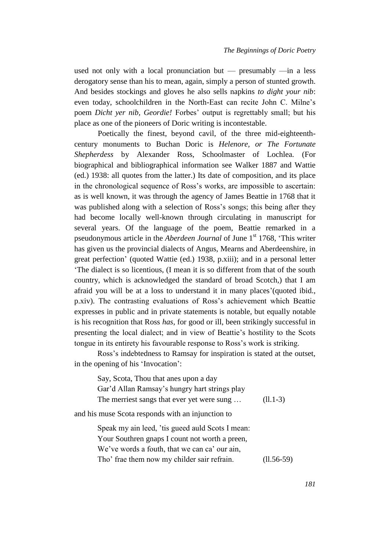used not only with a local pronunciation but — presumably —in a less derogatory sense than his to mean, again, simply a person of stunted growth. And besides stockings and gloves he also sells napkins *to dight your nib*: even today, schoolchildren in the North-East can recite John C. Milne's poem *Dicht yer nib, Geordie!* Forbes' output is regrettably small; but his place as one of the pioneers of Doric writing is incontestable.

Poetically the finest, beyond cavil, of the three mid-eighteenthcentury monuments to Buchan Doric is *Helenore, or The Fortunate Shepherdess* by Alexander Ross, Schoolmaster of Lochlea*.* (For biographical and bibliographical information see Walker 1887 and Wattie (ed.) 1938: all quotes from the latter.) Its date of composition, and its place in the chronological sequence of Ross's works, are impossible to ascertain: as is well known, it was through the agency of James Beattie in 1768 that it was published along with a selection of Ross's songs; this being after they had become locally well-known through circulating in manuscript for several years. Of the language of the poem, Beattie remarked in a pseudonymous article in the *Aberdeen Journal* of June 1<sup>st</sup> 1768, 'This writer has given us the provincial dialects of Angus, Mearns and Aberdeenshire, in great perfection' (quoted Wattie (ed.) 1938, p.xiii); and in a personal letter 'The dialect is so licentious, (I mean it is so different from that of the south country, which is acknowledged the standard of broad Scotch,) that I am afraid you will be at a loss to understand it in many places'(quoted ibid., p.xiv). The contrasting evaluations of Ross's achievement which Beattie expresses in public and in private statements is notable, but equally notable is his recognition that Ross *has*, for good or ill, been strikingly successful in presenting the local dialect; and in view of Beattie's hostility to the Scots tongue in its entirety his favourable response to Ross's work is striking.

Ross's indebtedness to Ramsay for inspiration is stated at the outset, in the opening of his 'Invocation':

Say, Scota, Thou that anes upon a day Gar'd Allan Ramsay's hungry hart strings play The merriest sangs that ever yet were sung  $\ldots$  (ll.1-3)

and his muse Scota responds with an injunction to

Speak my ain leed, 'tis gueed auld Scots I mean: Your Southren gnaps I count not worth a preen, We've words a fouth, that we can ca' our ain. Tho' frae them now my childer sair refrain. (ll.56-59)

*181*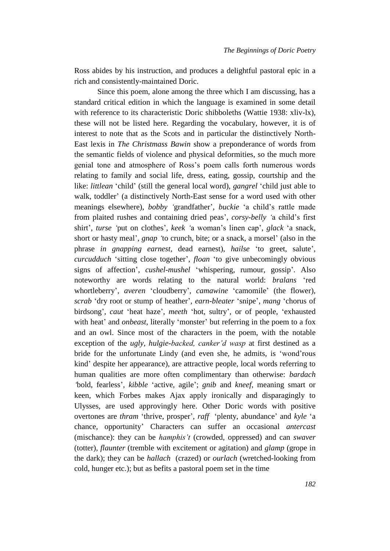Ross abides by his instruction, and produces a delightful pastoral epic in a rich and consistently-maintained Doric.

Since this poem, alone among the three which I am discussing, has a standard critical edition in which the language is examined in some detail with reference to its characteristic Doric shibboleths (Wattie 1938: xliv-lx), these will not be listed here. Regarding the vocabulary, however, it is of interest to note that as the Scots and in particular the distinctively North-East lexis in *The Christmass Bawin* show a preponderance of words from the semantic fields of violence and physical deformities, so the much more genial tone and atmosphere of Ross's poem calls forth numerous words relating to family and social life, dress, eating, gossip, courtship and the like: *littlean* 'child' (still the general local word), *gangrel* 'child just able to walk, toddler' (a distinctively North-East sense for a word used with other meanings elsewhere), *bobby '*grandfather', *buckie* 'a child's rattle made from plaited rushes and containing dried peas', *corsy-belly '*a child's first shirt', *turse '*put on clothes', *keek '*a woman's linen cap', *glack* 'a snack, short or hasty meal', *gnap '*to crunch, bite; or a snack, a morsel' (also in the phrase *in gnapping earnest*, dead earnest), *hailse* 'to greet, salute', *curcudduch* 'sitting close together', *floan* 'to give unbecomingly obvious signs of affection', *cushel-mushel* 'whispering, rumour, gossip'. Also noteworthy are words relating to the natural world: *bralans* 'red whortleberry', *averen* 'cloudberry', *camawine* 'camomile' (the flower), *scrab* 'dry root or stump of heather', *earn-bleater* 'snipe', *mang* 'chorus of birdsong', *caut* 'heat haze', *meeth* 'hot, sultry', or of people, 'exhausted with heat' and *onbeast*, literally 'monster' but referring in the poem to a fox and an owl. Since most of the characters in the poem, with the notable exception of the *ugly, hulgie-backed, canker'd wasp* at first destined as a bride for the unfortunate Lindy (and even she, he admits, is 'wond'rous kind' despite her appearance), are attractive people, local words referring to human qualities are more often complimentary than otherwise: *bardach '*bold, fearless', *kibble* 'active, agile'; *gnib* and *kneef*, meaning smart or keen, which Forbes makes Ajax apply ironically and disparagingly to Ulysses, are used approvingly here. Other Doric words with positive overtones are *thram* 'thrive, prosper', *raff* 'plenty, abundance' and *kyle* 'a chance, opportunity' Characters can suffer an occasional *antercast* (mischance): they can be *hamphis't* (crowded, oppressed) and can *swaver*  (totter), *flaunter* (tremble with excitement or agitation) and *glamp* (grope in the dark); they can be *hallach* (crazed) or *ourlach* (wretched-looking from cold, hunger etc.); but as befits a pastoral poem set in the time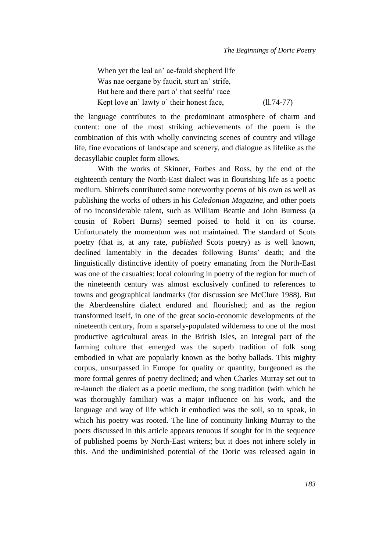When yet the leal an' ae-fauld shepherd life Was nae oergane by faucit, sturt an' strife, But here and there part o' that seelfu' race Kept love an' lawty o' their honest face,  $(11.74-77)$ 

the language contributes to the predominant atmosphere of charm and content: one of the most striking achievements of the poem is the combination of this with wholly convincing scenes of country and village life, fine evocations of landscape and scenery, and dialogue as lifelike as the decasyllabic couplet form allows.

With the works of Skinner, Forbes and Ross, by the end of the eighteenth century the North-East dialect was in flourishing life as a poetic medium. Shirrefs contributed some noteworthy poems of his own as well as publishing the works of others in his *Caledonian Magazine*, and other poets of no inconsiderable talent, such as William Beattie and John Burness (a cousin of Robert Burns) seemed poised to hold it on its course. Unfortunately the momentum was not maintained. The standard of Scots poetry (that is, at any rate, *published* Scots poetry) as is well known, declined lamentably in the decades following Burns' death; and the linguistically distinctive identity of poetry emanating from the North-East was one of the casualties: local colouring in poetry of the region for much of the nineteenth century was almost exclusively confined to references to towns and geographical landmarks (for discussion see McClure 1988). But the Aberdeenshire dialect endured and flourished; and as the region transformed itself, in one of the great socio-economic developments of the nineteenth century, from a sparsely-populated wilderness to one of the most productive agricultural areas in the British Isles, an integral part of the farming culture that emerged was the superb tradition of folk song embodied in what are popularly known as the bothy ballads. This mighty corpus, unsurpassed in Europe for quality or quantity, burgeoned as the more formal genres of poetry declined; and when Charles Murray set out to re-launch the dialect as a poetic medium, the song tradition (with which he was thoroughly familiar) was a major influence on his work, and the language and way of life which it embodied was the soil, so to speak, in which his poetry was rooted. The line of continuity linking Murray to the poets discussed in this article appears tenuous if sought for in the sequence of published poems by North-East writers; but it does not inhere solely in this. And the undiminished potential of the Doric was released again in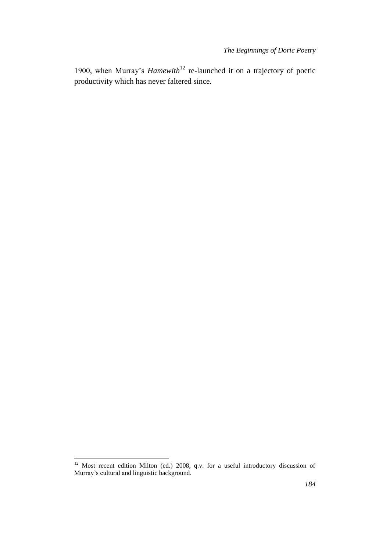1900, when Murray's *Hamewith*<sup>12</sup> re-launched it on a trajectory of poetic productivity which has never faltered since.

l

 $12$  Most recent edition Milton (ed.) 2008, q.v. for a useful introductory discussion of Murray's cultural and linguistic background.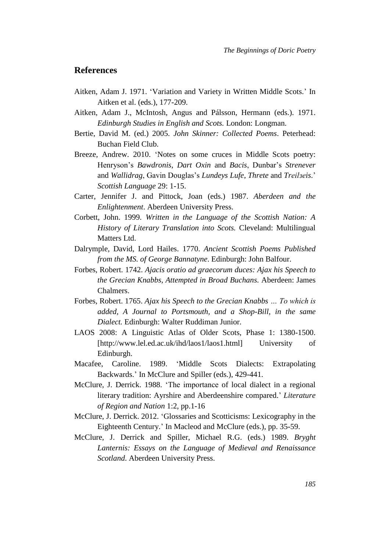## **References**

- Aitken, Adam J. 1971. 'Variation and Variety in Written Middle Scots.' In Aitken et al. (eds.), 177-209.
- Aitken, Adam J., McIntosh, Angus and Pálsson, Hermann (eds.). 1971. *Edinburgh Studies in English and Scots.* London: Longman.
- Bertie, David M. (ed.) 2005. *John Skinner: Collected Poems*. Peterhead: Buchan Field Club.
- Breeze, Andrew. 2010. 'Notes on some cruces in Middle Scots poetry: Henryson's *Bawdronis*, *Dart Oxin* and *Bacis*, Dunbar's *Strenever* and *Wallidrag*, Gavin Douglas's *Lundeys Lufe*, *Threte* and *Treilзeis*.' *Scottish Language* 29: 1-15.
- Carter, Jennifer J. and Pittock, Joan (eds.) 1987. *Aberdeen and the Enlightenment*. Aberdeen University Press.
- Corbett, John. 1999. *Written in the Language of the Scottish Nation: A History of Literary Translation into Scots.* Cleveland: Multilingual Matters Ltd.
- Dalrymple, David, Lord Hailes. 1770. *Ancient Scottish Poems Published from the MS. of George Bannatyne*. Edinburgh: John Balfour.
- Forbes, Robert. 1742. *Ajacis oratio ad graecorum duces: [Ajax his Speech to](javascript:open_window()  [the Grecian Knabbs, Attempted in Broad Buchans.](javascript:open_window()* Aberdeen: James Chalmers.
- Forbes, Robert. 1765. *Ajax his Speech to the Grecian Knabbs … To which is added, A Journal to Portsmouth, and a Shop-Bill, in the same Dialect.* Edinburgh: Walter Ruddiman Junior.
- LAOS 2008: A Linguistic Atlas of Older Scots, Phase 1: 1380-1500. [http://www.lel.ed.ac.uk/ihd/laos1/laos1.html] University of Edinburgh.
- Macafee, Caroline. 1989. 'Middle Scots Dialects: Extrapolating Backwards.' In McClure and Spiller (eds.), 429-441.
- McClure, J. Derrick. 1988. 'The importance of local dialect in a regional literary tradition: Ayrshire and Aberdeenshire compared.' *Literature of Region and Nation* 1:2, pp.1-16
- McClure, J. Derrick. 2012. 'Glossaries and Scotticisms: Lexicography in the Eighteenth Century.' In Macleod and McClure (eds.), pp. 35-59.
- McClure, J. Derrick and Spiller, Michael R.G. (eds.) 1989. *Bryght Lanternis: Essays on the Language of Medieval and Renaissance Scotland*. Aberdeen University Press.